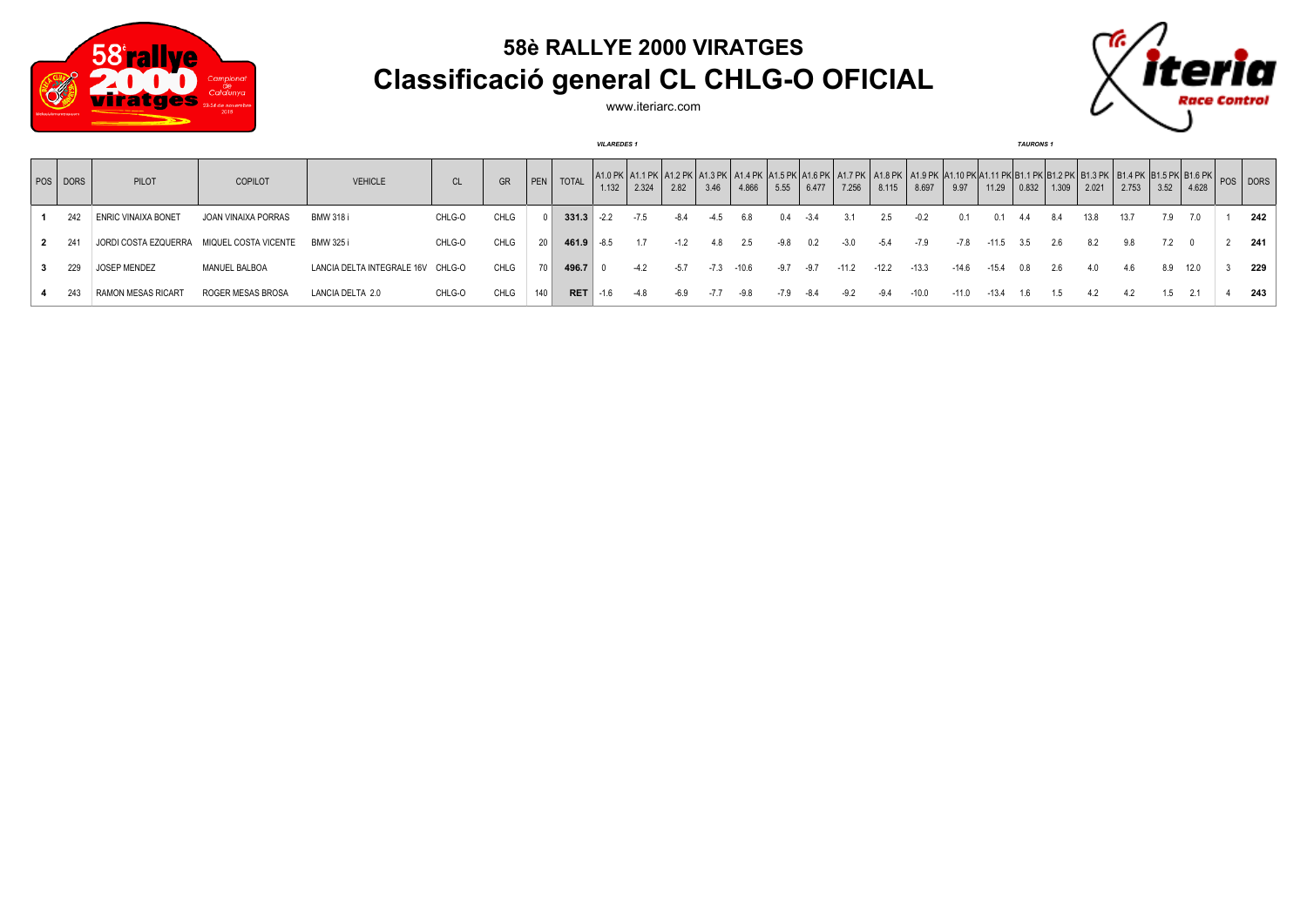

## **58è RALLYE 2000 VIRATGES Classificació general CL CHLG-O OFICIAL**



www.iteriarc.com

|          |                                           |                     |                            |           |      |      |              | <b>VILAREDES1</b> |        |        |      |         |        |        |         |         |         |                                                                                                                                                                                   |         | <b>TAURONS1</b> |       |       |       |      |       |              |
|----------|-------------------------------------------|---------------------|----------------------------|-----------|------|------|--------------|-------------------|--------|--------|------|---------|--------|--------|---------|---------|---------|-----------------------------------------------------------------------------------------------------------------------------------------------------------------------------------|---------|-----------------|-------|-------|-------|------|-------|--------------|
| POS DORS | PILOT                                     | COPILOT             | <b>VEHICLE</b>             | <b>CL</b> | GR   | PEN  | <b>TOTAL</b> | 1.132             | 2.324  | 2.82   | 3.46 | 4.866   | 5.55   | 6.477  | 7.256   | 8.115   | 8.697   | A1.0 PK   A1.1 PK   A1.2 PK   A1.3 PK   A1.4 PK  A1.5 PK  A1.6 PK   A1.7 PK   A1.8 PK   A1.9 PK  A1.10 PK A1.11 PK B1.1 PK B1.2 PK   B1.3 PK   B1.4 PK  B1.5 PK B1.6 PK  <br>9.97 | 11.29   | 0.832           | 1.309 | 2.021 | 2.753 | 3.52 | 4.628 | $ pos $ DORS |
| 242      | <b>ENRIC VINAIXA BONET</b>                | JOAN VINAIXA PORRAS | <b>BMW 318 i</b>           | CHLG-O    | CHLG |      | $331.3$ -2.2 |                   | $-7.5$ |        |      | 6.8     | 0.4    | $-3.4$ |         | 2.5     |         |                                                                                                                                                                                   |         |                 | 8.4   | 13.8  | 13.7  | 7.9  | 7.0   | 242          |
| -241     | JORDI COSTA EZQUERRA MIQUEL COSTA VICENTE |                     | BMW 325 i                  | CHLG-O    | CHLG | 20   | 461.9        | -8.5              | 1.7    | $-1.2$ | 4.8  | 2.5     | $-9.8$ | 0.2    | -3.0    | $-5.4$  |         | -7.8                                                                                                                                                                              | $-11.5$ | -3.5            | 2.6   | 8.2   | 9.8   | 7.2  |       | 241          |
| 229      | JOSEP MENDEZ                              | MANUEL BALBOA       | LANCIA DELTA INTEGRALE 16V | CHLG-O    | CHLG | 70 L | 496.7        |                   | $-4.2$ | $-5.7$ | -7.3 | $-10.6$ | -9.7   | -9.7   | $-11.2$ | $-12.2$ | $-13.3$ | $-14.6$                                                                                                                                                                           | $-15.4$ |                 | 2.6   | 4.0   | 4.6   | 8.9  | 12.0  | 229          |
| 243      | <b>RAMON MESAS RICART</b>                 | ROGER MESAS BROSA   | LANCIA DELTA 2.0           | CHLG-O    | CHLG | 140  | <b>RET</b>   |                   |        |        |      | $-9.8$  | -7.9   | -8.4   |         | $-9.4$  | $-10.0$ | 11 0.                                                                                                                                                                             |         |                 |       |       |       | 1.5  |       | 243          |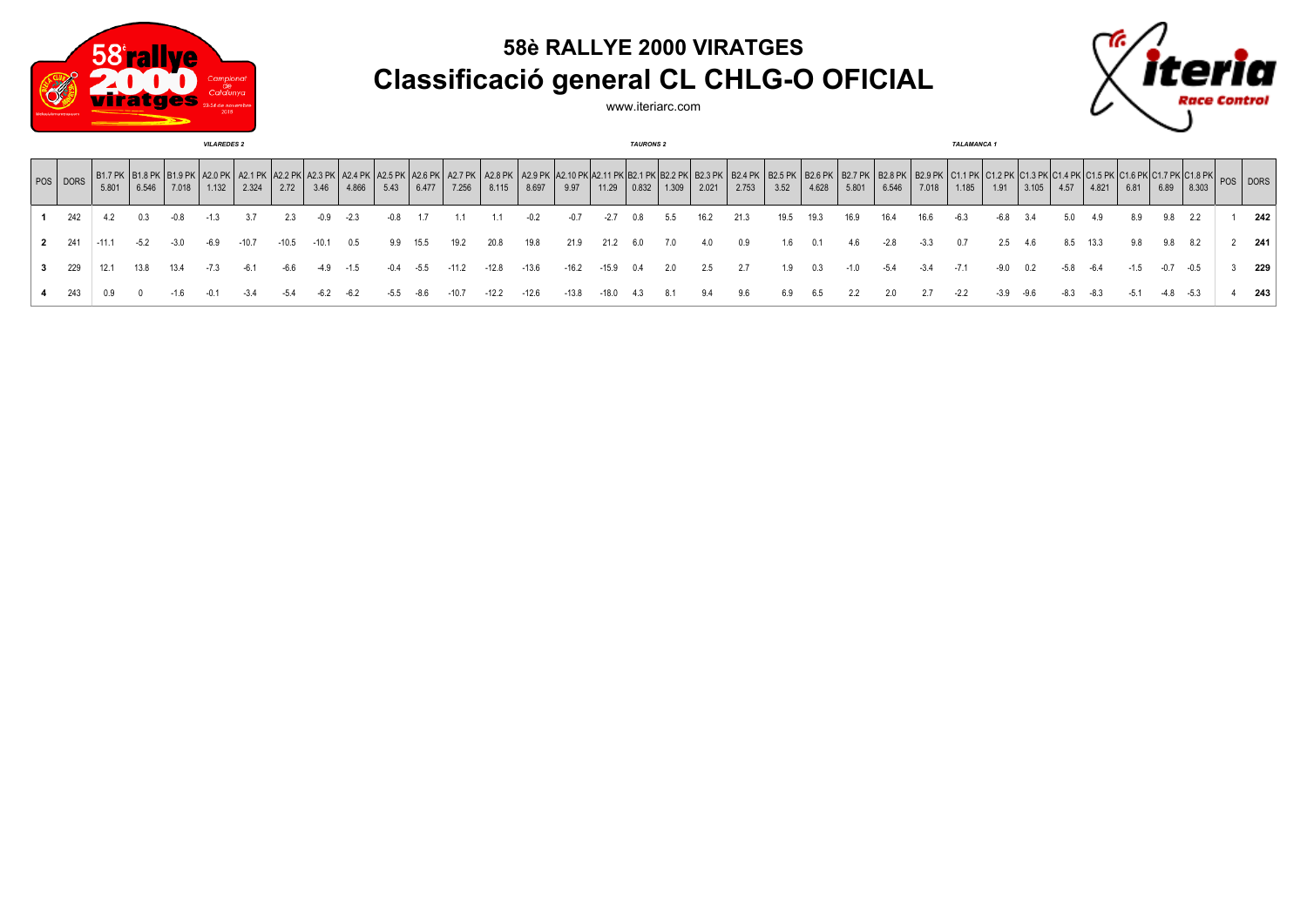

## **58è RALLYE 2000 VIRATGES Classificació general CL CHLG-O OFICIAL**

www.iteriarc.com



| <b>VILAREDES 2</b> |         |        |        |       |         |         |         |        |        |        |                            | <b>TAURONS 2</b> |                                                                          |         |         |     |                 |       |       |                        |                         |                          | <b>TALAMANCA1</b>                |        |       |        |       |      |        |                                                    |        |               |       |
|--------------------|---------|--------|--------|-------|---------|---------|---------|--------|--------|--------|----------------------------|------------------|--------------------------------------------------------------------------|---------|---------|-----|-----------------|-------|-------|------------------------|-------------------------|--------------------------|----------------------------------|--------|-------|--------|-------|------|--------|----------------------------------------------------|--------|---------------|-------|
| POS DORS           | 5.801   | 6.546  | 7.018  | 1.132 | 2.324   | 2.72    | 3.46    | 4.866  | 5.43   | 6.477  | A2.6 PK   A2.7 PK<br>7.256 | 8.115            | .   A2.8 PK   A2.9 PK  A2.10 PK  A2.11 PK   B2.1 PK   B2.2 PK  <br>8.697 | 9.97    | 11.29   |     | $0.832$   1.309 | 2.021 | 2.753 | <b>B2.5 PK</b><br>3.52 | <b>B2.6 PK</b><br>4.628 | $\vert$ B2.7 PK<br>5.801 | (   B2.8 PK   B2.9 PK  <br>6.546 | 7.018  | 1.185 | 1.91   | 3.105 | 4.57 | 4.821  | $\sim$ PK C1.6 PK C1.7 PK C1.8 PK POS DORS<br>6.81 | 6.89   | 8.303         |       |
| 1 242              |         |        | -0.8   |       |         | 2.3     |         | $-2.3$ | $-0.8$ |        |                            |                  |                                                                          | $-0.7$  |         | 0.8 | 5.5             | 16.2  | 21.3  | 19.5                   | 19.3                    | 16.9                     | 16.4                             | 16.6   | -6.3  | $-6.8$ | 3.4   | 5.0  | 4.9    | 8.9                                                | 9.8    | $2.2^{\circ}$ | 242   |
| 2 241              | $-11.1$ | $-5.2$ | $-3.0$ | -6.9  | $-10.7$ | $-10.5$ | $-10.1$ | 0.5    | 9.9    | 15.5   | 19.2                       | 20.8             | 19.8                                                                     | 21.9    | 21.2    | 6.0 | 7.0             | 4.0   | 0.9   | 1.6                    | 0.1                     | 4.6                      | $-2.8$                           | $-3.3$ | 0.7   | 2.5    | 4.6   | 8.5  | 13.3   | 9.8                                                | 9.8    | 8.2           | - 241 |
| 229                | 12.1    | 13.8   | 13.4   |       | $-6.1$  | $-6.6$  | -4.9    | $-1.5$ | $-0.4$ | $-5.5$ | $-11.2$                    | $-12.8$          | $-13.6$                                                                  | $-16.2$ | $-15.9$ | 0.4 | 2.0             | 2.5   | 2.7   | 1.9                    | 0.3                     | $-1.0$                   | -5.4                             |        |       |        | 0.2   | -5.8 | -6.4   | $-1.5$                                             | $-0.7$ | $-0.5$        | 229   |
| 243                |         |        |        |       |         |         |         |        |        |        | -10.7                      | $-12.2$          | $-12.6$                                                                  | $-13.8$ | $-18.0$ |     |                 | 9.4   | 9.6   | 6.9                    | 6.5                     | 2.2                      |                                  |        |       | -3.9   |       | -8.3 | $-8.3$ | -5.1                                               |        | $-5.3$        | 243   |